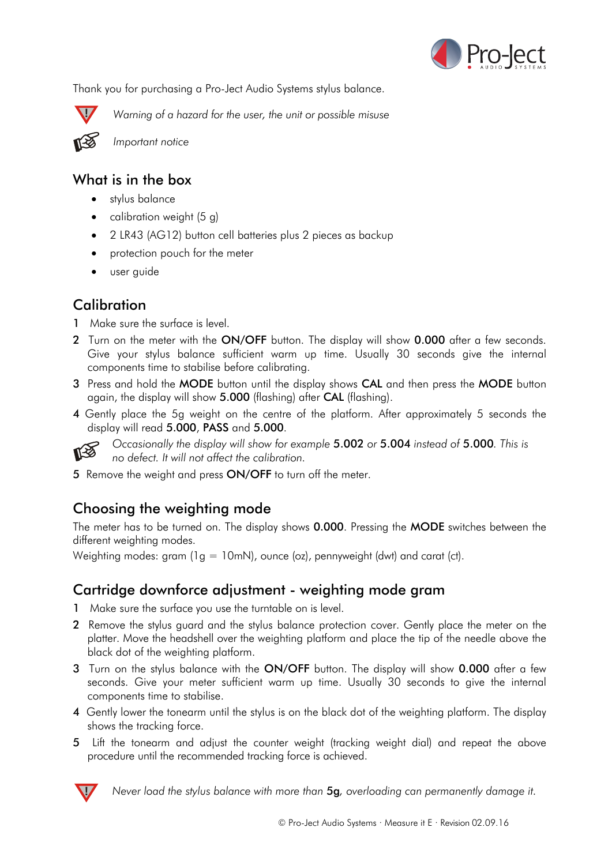

Thank you for purchasing a Pro-Ject Audio Systems stylus balance.



**!** *Warning of a hazard for the user, the unit or possible misuse*



*Important notice*

### What is in the box

- stylus balance
- calibration weight (5 g)
- 2 LR43 (AG12) button cell batteries plus 2 pieces as backup
- protection pouch for the meter
- user guide

# **Calibration**

- 1 Make sure the surface is level.
- 2 Turn on the meter with the ON/OFF button. The display will show 0.000 after a few seconds. Give your stylus balance sufficient warm up time. Usually 30 seconds give the internal components time to stabilise before calibrating.
- 3 Press and hold the MODE button until the display shows CAL and then press the MODE button again, the display will show 5.000 (flashing) after CAL (flashing).
- 4 Gently place the 5g weight on the centre of the platform. After approximately 5 seconds the display will read 5.000, PASS and 5.000.



*Occasionally the display will show for example* 5.002 *or* 5.004 *instead of* 5.000*. This is no defect. It will not affect the calibration.*

5 Remove the weight and press ON/OFF to turn off the meter.

# Choosing the weighting mode

The meter has to be turned on. The display shows **0.000**. Pressing the **MODE** switches between the different weighting modes.

Weighting modes: gram (1g = 10mN), ounce (oz), pennyweight (dwt) and carat (ct).

## Cartridge downforce adjustment - weighting mode gram

- 1 Make sure the surface you use the turntable on is level.
- 2 Remove the stylus quard and the stylus balance protection cover. Gently place the meter on the platter. Move the headshell over the weighting platform and place the tip of the needle above the black dot of the weighting platform.
- 3 Turn on the stylus balance with the ON/OFF button. The display will show 0.000 after a few seconds. Give your meter sufficient warm up time. Usually 30 seconds to give the internal components time to stabilise.
- 4 Gently lower the tonearm until the stylus is on the black dot of the weighting platform. The display shows the tracking force.
- 5 Lift the tonearm and adjust the counter weight (tracking weight dial) and repeat the above procedure until the recommended tracking force is achieved.



**!** *Never load the stylus balance with more than* 5g*, overloading can permanently damage it.*